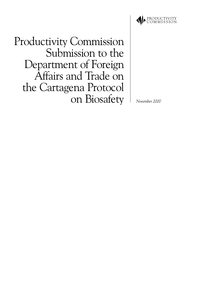

**Productivity Commission** Submission to the Department of Foreign Affairs and Trade on the Cartagena Protocol on Biosafety

November 2000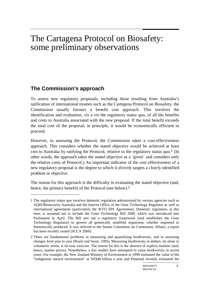# The Cartagena Protocol on Biosafety: some preliminary observations

# **The Commission's approach**

 $\overline{a}$ 

To assess new regulatory proposals, including those resulting from Australia's ratification of international treaties such as the Cartegena Protocol on Biosafety, the Commission usually favours a benefit cost approach. This involves the identification and evaluation, vis a vis the regulatory status quo, of all the benefits and costs to Australia associated with the new proposal. If the total benefit exceeds the total cost of the proposal, in principle, it would be economically efficient to proceed.

However, in assessing the Protocol, the Commission takes a cost-effectiveness approach. This considers whether the stated objective would be achieved at least cost to Australia by ratifying the Protocol, relative to the regulatory status quo.<sup>1</sup> (In other words, the approach takes the stated objective as a 'given' and considers only the relative costs of Protocol.) An important indicator of the cost effectiveness of a new regulatory proposal is the degree to which it *directly* targets a *clearly* identified problem or objective.

The reason for this approach is the difficulty in evaluating the stated objective (and, hence, the primary benefit) of the Protocol (see below).<sup>2</sup>

<sup>1</sup> The regulatory status quo involves domestic regulation administered by various agencies such as AQIS/Biosecurity Australia and the Interim Office of the Gene Technology Regulator as well as international agreements (particularly the WTO SPS Agreement). Domestic regulation, at this time, is assumed not to include the Gene Technology Bill 2000, which was introduced into Parliament in April. The Bill sets out a regulatory framework (and establishes the Gene Technology Regulator) to govern all genetically modified organisms, whether imported or domestically produced. It was referred to the Senate Committee on Community Affairs; a report has been recently issued (SCCA 2000).

<sup>2</sup> There are fundamental problems in measuring and quantifying biodiversity, and in assessing changes from year to year (Boyle and Sayer, 1995). Measuring biodiversity in dollars, let alone in volumetric terms, is no easy exercise. The reason for this is the absence of explicit markets (and, hence, market prices). Nonetheless, a few studies have attempted to value biodiversity in recent years. For example, the New Zealand Ministry of Environment in 1998 estimated the value of the "indigenous natural environment" at NZ\$46 billion a year and Pimental recently estimated the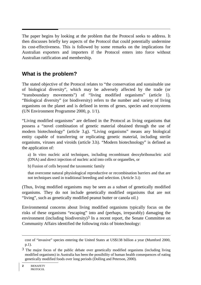The paper begins by looking at the problem that the Protocol seeks to address. It then discusses briefly key aspects of the Protocol that could potentially undermine its cost-effectiveness. This is followed by some remarks on the implications for Australian exporters and importers if the Protocol enters into force without Australian ratification and membership.

## **What is the problem?**

The stated objective of the Protocol relates to "the conservation and sustainable use of biological diversity", which may be adversely affected by the trade (or "transboundary movements") of "living modified organisms" (article 1). "Biological diversity" (or biodiversity) refers to the number and variety of living organisms on the planet and is defined in terms of genes, species and ecosystems (UN Environment Programme 2000, p. 1/1).

"Living modified organisms" are defined in the Protocol as living organisms that possess a "novel combination of genetic material obtained through the use of modern biotechnology" (article 3.g). "Living organisms" means any biological entity capable of transferring or replicating genetic material, including sterile organisms, viruses and viroids (article 3.h). "Modern biotechnology" is defined as the application of:

a) In vitro nucleic acid techniques, including recombinant deoxybribonucleic acid (DNA) and direct injection of nucleic acid into cells or organelles, or

b) Fusion of cells beyond the taxonomic family

that overcome natural physiological reproductive or recombination barriers and that are not techniques used in traditional breeding and selection. (Article 3.i)

(Thus, living modified organisms may be seen as a subset of genetically modified organisms. They do not include genetically modified organisms that are not "living", such as genetically modified peanut butter or canola oil.)

Environmental concerns about living modified organisms typically focus on the risks of these organisms "escaping" into and (perhaps, irreparably) damaging the environment (including biodiversity)<sup>3</sup> In a recent report, the Senate Committee on Community Affairs identified the following risks of biotechnology:

 $\overline{a}$ 

cost of "invasive" species entering the United States at US\$138 billion a year (Mumford 2000, p.1).

 $3$  The major focus of the public debate over genetically modified organisms (including living modified organisms) in Australia has been the possibility of human health consequences of eating genetically modified foods over long periods (Dolling and Peterson, 2000).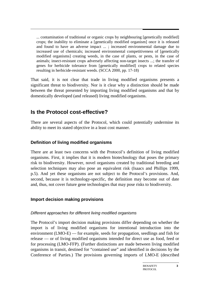... contamination of traditional or organic crops by neighbouring [genetically modified] crops; the inability to eliminate a [genetically modified organism] once it is released and found to have an adverse impact ... ; increased environmental damage due to increased use of chemicals; increased environmental competitiveness of [genetically modified organisms] creating weeds, in the case of plants, or pests, in the case of animals; insect-resistant crops adversely affecting non-target insects ...; the transfer of genes for herbicide tolerance from [genetically modified] crops to related species resulting in herbicide-resistant weeds. (SCCA 2000, pp. 17-18)

That said, it is not clear that trade in living modified organisms presents a significant threat to biodiversity. Nor is it clear why a distinction should be made between the threat presented by importing living modified organisms and that by domestically developed (and released) living modified organisms.

## **Is the Protocol cost-effective?**

There are several aspects of the Protocol, which could potentially undermine its ability to meet its stated objective in a least cost manner.

### **Definition of living modified organisms**

There are at least two concerns with the Protocol's definition of living modified organisms. First, it implies that it is modern biotechnology that poses the primary risk to biodiversity. However, novel organisms created by traditional breeding and selection techniques may also pose an equivalent risk (Isaacs and Phillips 1999, p.5). And yet these organisms are not subject to the Protocol's provisions. And, second, because it is technology-specific, the definition may become out of date and, thus, not cover future gene technologies that may pose risks to biodiversity.

#### **Import decision making provisions**

#### Different approaches for different living modified organisms

The Protocol's import decision making provisions differ depending on whether the import is of living modified organisms for intentional introduction into the environment (LMO-E) — for example, seeds for propagation, seedlings and fish for release — or of living modified organisms intended for direct use as food, feed or for processing (LMO-FFP). (Further distinctions are made between living modified organisms in transit, destined for "contained use" and identified in decisions by the Conference of Parties.) The provisions governing imports of LMO-E (described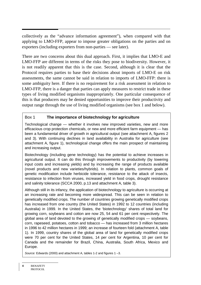collectively as the "advance information agreement"), when compared with that applying to LMO-FFP, appear to impose greater obligations on the parties and on exporters (including exporters from non-parties — see later).

There are two concerns about this dual approach. First, it implies that LMO-E and LMO-FFP are different in terms of the risks they pose to biodiversity. However, it is not readily apparent that this is the case. Second, although it is clear that the Protocol requires parties to base their decisions about imports of LMO-E on risk assessments, the same cannot be said in relation to imports of LMO-FFP: there is some ambiguity here. If there is no requirement for a risk assessment in relation to LMO-FFP, there is a danger that parties can apply measures to restrict trade in these types of living modified organisms inappropriately. One particular consequence of this is that producers may be denied opportunities to improve their productivity and output range through the use of living modified organisms (see box 1 and below).

#### Box 1 **The importance of biotechnology for agriculture**

Technological change — whether it involves new improved varieties, new and more efficacious crop protection chemicals, or new and more efficient farm equipment — has been a fundamental driver of growth in agricultural output (see attachment A, figures 2 and 3). With continuing declines in land availability in Australia for agriculture (see attachment A, figure 1), technological change offers the main prospect of maintaining and increasing output.

Biotechnology (including gene technology) has the potential to achieve increases in agricultural output. It can do this through improvements to productivity (by lowering input costs and increasing yields) and by increasing the range of products available (novel products and new varieties/hybrids). In relation to plants, common goals of genetic modification include herbicide tolerance, resistance to the attack of insects, resistance to infection from viruses, increased yield in food crops, drought resistance and salinity tolerance (SCCA 2000, p.13 and attachment A, table 3).

Although still in its infancy, the application of biotechnology to agriculture is occurring at an increasing rate and becoming more widespread. This can be seen in relation to genetically modified crops. The number of countries growing genetically modified crops has increased from one country (the United States) in 1992 to 12 countries (including Australia) in 1999. In the United States, the 'biotechnology' shares of total land for growing corn, soybeans and cotton are now 25, 54 and 61 per cent respectively. The global area of land devoted to the growing of genetically modified crops — soybeans, corn, rapeseed, potatoes, cotton and tobacco — has increased from 3 million hectares in 1996 to 42 million hectares in 1999; an increase of fourteen fold (attachment A, table 1). In 1999, country shares of the global area of land for genetically modified crops were 70 per cent for the United States, 14 per cent for Argentina, 10 per cent for Canada and the remainder for Brazil, China, Australia, South Africa, Mexico and Europe.

Source: Edwards (2000) and attachment A, tables 1-2 and figures 1 –3.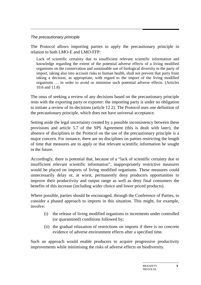#### The precautionary principle

The Protocol allows importing parties to apply the precautionary principle in relation to both LMO-E and LMO-FFP:

Lack of scientific certainty due to insufficient relevant scientific information and knowledge regarding the extent of the potential adverse effects of a living modified organisms on the conservation and sustainable use of biological diversity in the party of import, taking also into account risks to human health, shall not prevent that party from taking a decision, as appropriate, with regard to the import of the living modified organisms … in order to avoid or minimise such potential adverse effects. (Articles 10.6 and 11.8)

The onus of seeking a review of any decisions based on the precautionary principle rests with the exporting party or exporter: the importing party is under no obligation to initiate a review of its decisions (article 12.2). The Protocol uses one definition of the precautionary principle, which does not have universal acceptance.

Setting aside the legal uncertainty created by a possible inconsistency between these provisions and article 5.7 of the SPS Agreement (this is dealt with later), the absence of disciplines in the Protocol on the use of the precautionary principle is a major concern. For instance, there are no disciplines on parties restricting the length of time that measures are to apply or that relevant scientific information be sought in the future.

Accordingly, there is potential that, because of a "lack of scientific certainty due to insufficient relevant scientific information", inappropriately restrictive measures would be placed on imports of living modified organisms. These measures could unnecessarily delay or, at worst, permanently deny producers opportunities to improve their productivity and output range as well as deny final consumers the benefits of this increase (including wider choice and lower priced products).

Where possible, parties should be encouraged, through the Conference of Parties, to consider a phased approach to imports in this situation. This might, for example, involve:

- (i) the release of living modified organisms in increments under controlled (or quarantined) conditions followed by;
- (ii) the gradual relaxation of restrictions on imports if there is no concrete evidence of adverse environment effects after a specified time.

Such an approach would enable producers to acquire progressive productivity improvements while minimising the risks of adverse effects on biodiversity.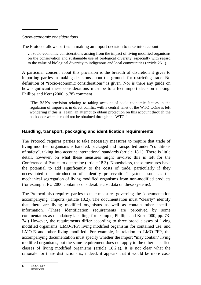#### Socio-economic considerations

The Protocol allows parties in making an import decision to take into account:

… socio-economic considerations arising from the impact of living modified organisms on the conservation and sustainable use of biological diversity, especially with regard to the value of biological diversity to indigenous and local communities (article 26.1).

A particular concern about this provision is the breadth of discretion it gives to importing parties in making decisions about the grounds for restricting trade. No definition of "socio-economic considerations" is given. Nor is there any guide on how significant these considerations must be to affect import decision making. Phillips and Kerr (2000, p.78) comment

"The BSP's provision relating to taking account of socio-economic factors in the regulation of imports is in direct conflict with a central tenet of the WTO…One is left wondering if this is, again, an attempt to obtain protection on this account through the back door when it could not be obtained through the WTO."

#### **Handling, transport, packaging and identification requirements**

The Protocol requires parties to take necessary measures to require that trade of living modified organisms is handled, packaged and transported under "conditions of safety", taking into account international standards (article 18.1). There is little detail, however, on what these measures might involve: this is left for the Conference of Parties to determine (article 18.3). Nonetheless, these measures have the potential to add significantly to the costs of trade, particularly if they necessitated the introduction of "identity preservation" systems such as the mechanical segregation of living modified organisms from non-modified products (for example, EU 2000 contains considerable cost data on these systems).

The Protocol also requires parties to take measures governing the "documentation accompanying" imports (article 18.2). The documentation must "clearly" identify that there are living modified organisms as well as contain other specific information. (These identification requirements are perceived by some commentators as mandatory labelling: for example, Phillips and Kerr 2000, pp. 73- 74.) However, the requirements differ according to three broad classes of living modified organisms: LMO-FFP; living modified organisms for contained use; and LMO-E and other living modified. For example, in relation to LMO-FFP, the accompanying documentation must specify whether the import "may contain' living modified organisms, but the same requirement does not apply to the other specified classes of living modified organisms (article 18.2.a). It is not clear what the rationale for these distinctions is; indeed, it appears that it would be more cost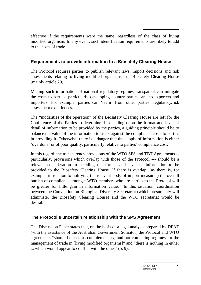effective if the requirements were the same, regardless of the class of living modified organism. In any event, such identification requirements are likely to add to the costs of trade.

## **Requirements to provide information to a Biosafety Clearing House**

The Protocol requires parties to publish relevant laws, import decisions and risk assessments relating to living modified organisms in a Biosafety Clearing House (mainly article 20).

Making such information of national regulatory regimes transparent can mitigate the costs to parties, particularly developing country parties, and to exporters and importers. For example, parties can 'learn' from other parties' regulatory/risk assessment experiences.

The "modalities of the operation" of the Biosafety Clearing House are left for the Conference of the Parties to determine. In deciding upon the format and level of detail of information to be provided by the parties, a guiding principle should be to balance the value of the information to users against the compliance costs to parties in providing it. Otherwise, there is a danger that the supply of information is either 'overdone' or of poor quality, particularly relative to parties' compliance cost.

In this regard, the transparency provisions of the WTO SPS and TBT Agreements - particularly, provisions which overlap with those of the Protocol --- should be a relevant consideration in deciding the format and level of information to be provided to the Biosafety Clearing House. If there is overlap, (as there is, for example, in relation to notifying the relevant body of import measures) the overall burden of compliance amongst WTO members who are parties to the Protocol will be greater for little gain in information value. In this situation, coordination between the Convention on Biological Diversity Secretariat (which presumably will administer the Biosafety Clearing House) and the WTO secretariat would be desirable.

## **The Protocol's uncertain relationship with the SPS Agreement**

The Discussion Paper states that, on the basis of a legal analysis prepared by DFAT (with the assistance of the Australian Government Solicitor) the Protocol and WTO agreements "should be seen as complementary, and not competing regimes for the management of trade in [living modified organisms]" and "there is nothing in either ... which would appear to conflict with the other" (p. 9).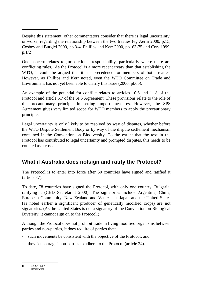Despite this statement, other commentators consider that there is legal uncertainty, or worse, regarding the relationship between the two treaties (eg Aerni 2000, p.15, Cosbey and Burgiel 2000, pp.3-4, Phillips and Kerr 2000, pp. 63-75 and Cors 1999, p.1/2).

One concern relates to jurisdictional responsibility, particularly where there are conflicting rules. As the Protocol is a more recent treaty than that establishing the WTO, it could be argued that it has precedence for members of both treaties. However, as Phillips and Kerr noted, even the WTO Committee on Trade and Environment has not yet been able to clarify this issue (2000, pl.65).

An example of the potential for conflict relates to articles 10.6 and 11.8 of the Protocol and article 5.7 of the SPS Agreement. These provisions relate to the role of the precautionary principle in setting import measures. However, the SPS Agreement gives very limited scope for WTO members to apply the precautionary principle.

Legal uncertainty is only likely to be resolved by way of disputes, whether before the WTO Dispute Settlement Body or by way of the dispute settlement mechanism contained in the Convention on Biodiversity. To the extent that the text in the Protocol has contributed to legal uncertainty and prompted disputes, this needs to be counted as a cost.

# **What if Australia does notsign and ratify the Protocol?**

The Protocol is to enter into force after 50 countries have signed and ratified it (article 37).

To date, 78 countries have signed the Protocol, with only one country, Bulgaria, ratifying it (CBD Secretariat 2000). The signatories include Argentina, China, European Community, New Zealand and Venezuela. Japan and the United States (as noted earlier a significant producer of genetically modified crops) are not signatories. (As the United States is not a signatory of the Convention on Biological Diversity, it cannot sign on to the Protocol.)

Although the Protocol does not prohibit trade in living modified organisms between parties and non-parties, it does require of parties that:

- such movements be consistent with the objective of the Protocol; and
- they "encourage" non-parties to adhere to the Protocol (article 24).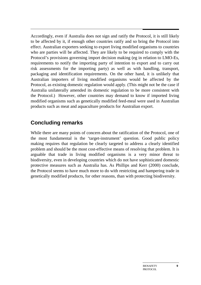Accordingly, even if Australia does not sign and ratify the Protocol, it is still likely to be affected by it, if enough other countries ratify and so bring the Protocol into effect. Australian exporters seeking to export living modified organisms to countries who are parties will be affected. They are likely to be required to comply with the Protocol's provisions governing import decision making (eg in relation to LMO-Es, requirements to notify the importing party of intention to export and to carry out risk assessments for the importing party) as well as with handling, transport, packaging and identification requirements. On the other hand, it is unlikely that Australian importers of living modified organisms would be affected by the Protocol, as existing domestic regulation would apply. (This might not be the case if Australia unilaterally amended its domestic regulation to be more consistent with the Protocol.) However, other countries may demand to know if imported living modified organisms such as genetically modified feed-meal were used in Australian products such as meat and aquaculture products for Australian export.

# **Concluding remarks**

While there are many points of concern about the ratification of the Protocol, one of the most fundamental is the 'target-instrument' question. Good public policy making requires that regulation be clearly targeted to address a clearly identified problem and should be the most cost-effective means of resolving that problem. It is arguable that trade in living modified organisms is a very minor threat to biodiversity, even in developing countries which do not have sophisticated domestic protective measures such as Australia has. As Phillips and Kerr (2000) conclude, the Protocol seems to have much more to do with restricting and hampering trade in genetically modified products, for other reasons, than with protecting biodiversity.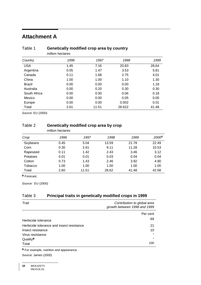# **Attachment A**

|              | million hectares |       |        |       |
|--------------|------------------|-------|--------|-------|
| Country      | 1996             | 1997  | 1998   | 1999  |
| <b>USA</b>   | 1.45             | 7.16  | 20.83  | 28.64 |
| Argentina    | 0.05             | 1.47  | 3.53   | 5.81  |
| Canada       | 0.11             | 1.68  | 2.75   | 4.01  |
| China        | 1.00             | 1.00  | 1.10   | 1.30  |
| Brazil       | 0.00             | 0.00  | 0.00   | 1.18  |
| Australia    | 0.00             | 0.20  | 0.30   | 0.30  |
| South Africa | 0.00             | 0.00  | 0.06   | 0.18  |
| Mexico       | 0.00             | 0.00  | 0.05   | 0.05  |
| Europe       | 0.00             | 0.00  | 0.002  | 0.01  |
| Total        | 2.61             | 11.51 | 28.622 | 41.48 |

# Table 1 **Genetically modified crop area by country**

Source: EU (2000)

#### Table 2 **Genetically modified crop area by crop**

|          | million hectares |       |       |       |                   |
|----------|------------------|-------|-------|-------|-------------------|
| Crop     | 1996             | 1997  | 1998  | 1999  | 2000 <sup>a</sup> |
| Soybeans | 0.45             | 5.04  | 13.59 | 21.78 | 22.49             |
| Corn     | 0.30             | 2.61  | 9.11  | 11.28 | 10.53             |
| Rapeseed | 0.11             | 1.42  | 2.43  | 3.46  | 3.12              |
| Potatoes | 0.01             | 0.01  | 0.03  | 0.04  | 0.04              |
| Cotton   | 0.73             | 1.43  | 2.46  | 3.92  | 4.90              |
| Tobacco  | 1.00             | 1.00  | 1.00  | 1.00  | 1.00              |
| Total    | 2.60             | 11.51 | 28.62 | 41.48 | 42.08             |

**a** Forecast.

Source: EU (2000)

#### Table 3 **Principal traits in genetically modified crops in 1999**

| Trait                                     | Contribution to global area<br>growth between 1998 and 1999 |
|-------------------------------------------|-------------------------------------------------------------|
|                                           | Per cent                                                    |
| Herbicide tolerance                       | 69                                                          |
| Herbicide tolerance and insect resistance | 21                                                          |
| Insect resistance                         | 10                                                          |
| Virus resistance                          |                                                             |
| Quality <sup>a</sup>                      |                                                             |
| Total                                     | 100                                                         |
|                                           |                                                             |

**a** For example, nutrition and appearance.

Source: James (2000)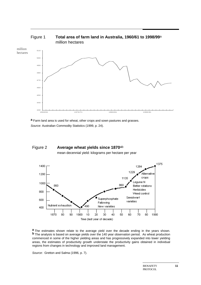

**a** Farm land area is used for wheat, other crops and sown pastures and grasses. Source: Australian Commodity Statistics (1999, p. 24).





**a** The estimates shown relate to the average yield over the decade ending in the years shown. **b** The analysis is based on average yields over the 140 year observation period. As wheat production commenced in some of the higher yielding areas and has progressively expanded into lower yielding areas, the estimates of productivity growth understate the productivity gains obtained in individual regions from changes in technology and improved land management.

Source: Gretton and Salma (1996, p. 7).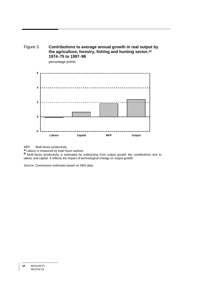



percentage points

MFP Multi-factor productivity

**a** Labour is measured by total hours worked.

**b** Multi-factor productivity is estimated by subtracting from output growth the contributions due to labour and capital. It reflects the impact of technological change on output growth.

Source: Commission estimates based on ABS data.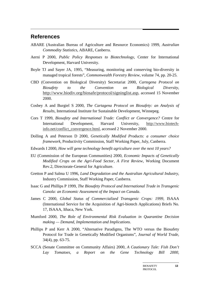## **References**

- ABARE (Australian Bureau of Agriculture and Resource Economics) 1999, *Australian Commodity Statistics*, ABARE, Canberra.
- Aerni P 2000, *Public Policy Responses to Biotechnology*, Center for International Development, Harvard University.
- Boyle TJ and Sayer JA, 1995, "Measuring, monitoring and conserving bio-diversity in managed tropical forests", *Commonwealth Forestry Review,* volume 74, pp. 20-25.
- CBD (Convention on Biological Diversity) Secretariat 2000, *Cartegena Protocol on Biosafety to the Convention on Biological Diversity*, http://www.biodiv.org/biosafe/protocol/signinglist.asp, accessed 15 November 2000.
- Cosbey A and Burgiel S 2000, *The Cartagena Protocol on Biosafety: an Analysis of Results*, International Institute for Sustainable Development, Winnepeg.
- Cors T 1999, *Biosafety and International Trade: Conflict or Convergence?* Centre for International Development, Harvard University, http://www.biotechinfo.net/conflict\_convergence.html, accessed 2 November 2000.
- Dolling A and Peterson D 2000, *Genetically Modified Products: a consumer choice framework*, Productivity Commission, Staff Working Paper, July, Canberra.
- Edwards I 2000, *How will gene technology benefit agriculture over the next 10 years?*
- EU (Commission of the European Communities) 2000, *Economic Impacts of Genetically Modified Crops on the Agri-Food Sector, A First Review*, Working Document Rev.2, Directorate-General for Agriculture.
- Gretton P and Salma U 1996, *Land Degradation and the Australian Agricultural Industry*, Industry Commission, Staff Working Paper, Canberra.
- Isaac G and Phillips P 1999, *The Biosafety Protocol and International Trade in Transgenic Canola: an Economic Assessment of the Impact on Canada*.
- James C 2000, *Global Status of Commercialized Transgenic Crops: 1999*, ISAAA (International Service for the Acquisition of Agri-biotech Applications) Briefs No. 17, ISAAA, Ithaca, New York.
- Mumford 2000, *The Role of Environmental Risk Evaluation in Quarantine Decision making — Demand, Implementation and Implications*.
- Phillips P and Kerr A 2000, "Alternative Paradigms, The WTO versus the Biosafety Protocol for Trade in Genetically Modified Organisms", *Journal of World Trade*, 34(4), pp. 63-75.
- SCCA (Senate Committee on Community Affairs) 2000, *A Cautionary Tale: Fish Don't Lay Tomatoes, a Report on the Gene Technology Bill 2000,*